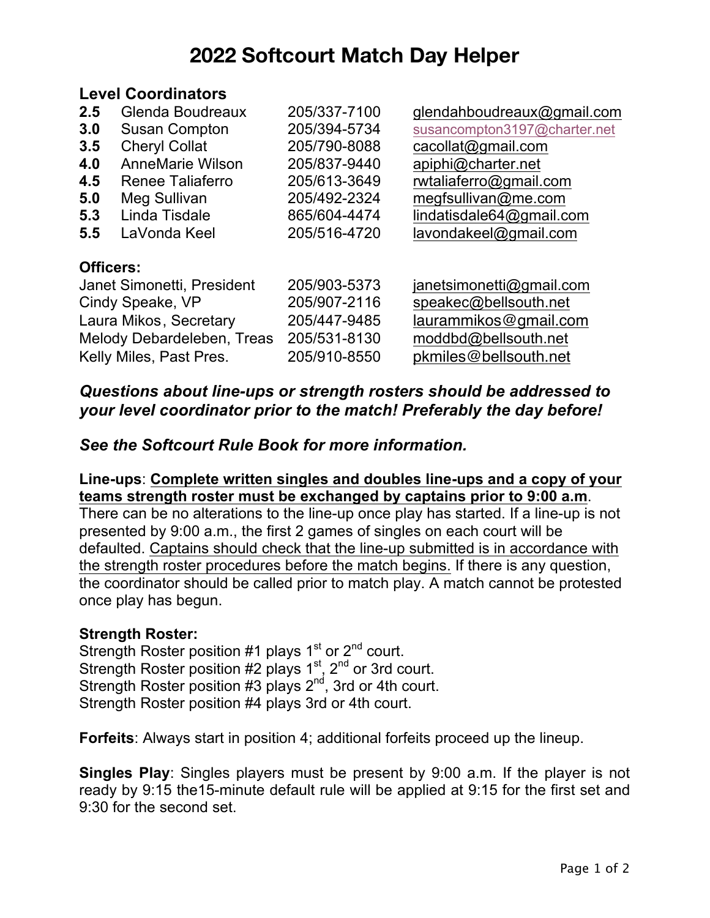# **2022 Softcourt Match Day Helper**

#### **Level Coordinators**

| 2.5                        | Glenda Boudreaux           | 205/337-7100 | glendahboudreaux@gmail.com   |
|----------------------------|----------------------------|--------------|------------------------------|
| 3.0                        | <b>Susan Compton</b>       | 205/394-5734 | susancompton3197@charter.net |
| 3.5                        | <b>Cheryl Collat</b>       | 205/790-8088 | cacollat@gmail.com           |
| 4.0                        | <b>AnneMarie Wilson</b>    | 205/837-9440 | apiphi@charter.net           |
| 4.5                        | Renee Taliaferro           | 205/613-3649 | rwtaliaferro@gmail.com       |
| 5.0                        | Meg Sullivan               | 205/492-2324 | megfsullivan@me.com          |
| 5.3                        | Linda Tisdale              | 865/604-4474 | lindatisdale64@gmail.com     |
| 5.5                        | LaVonda Keel               | 205/516-4720 | lavondakeel@gmail.com        |
| <b>Officers:</b>           |                            |              |                              |
|                            | Janet Simonetti, President | 205/903-5373 | janetsimonetti@gmail.com     |
| Cindy Speake, VP           |                            | 205/907-2116 | speakec@bellsouth.net        |
| Laura Mikos, Secretary     |                            | 205/447-9485 | laurammikos@gmail.com        |
| Melody Debardeleben, Treas |                            | 205/531-8130 | moddbd@bellsouth.net         |
|                            | Kelly Miles, Past Pres.    | 205/910-8550 | pkmiles@bellsouth.net        |
|                            |                            |              |                              |

## *Questions about line-ups or strength rosters should be addressed to your level coordinator prior to the match! Preferably the day before!*

### *See the Softcourt Rule Book for more information.*

#### **Line-ups**: **Complete written singles and doubles line-ups and a copy of your teams strength roster must be exchanged by captains prior to 9:00 a.m**. There can be no alterations to the line-up once play has started. If a line-up is not presented by 9:00 a.m., the first 2 games of singles on each court will be defaulted. Captains should check that the line-up submitted is in accordance with the strength roster procedures before the match begins. If there is any question, the coordinator should be called prior to match play. A match cannot be protested

# once play has begun.

### **Strength Roster:**

Strength Roster position #1 plays  $1<sup>st</sup>$  or  $2<sup>nd</sup>$  court. Strength Roster position #2 plays 1<sup>st</sup>, 2<sup>nd</sup> or 3rd court. Strength Roster position #3 plays  $2^{nd}$ , 3rd or 4th court. Strength Roster position #4 plays 3rd or 4th court.

**Forfeits**: Always start in position 4; additional forfeits proceed up the lineup.

**Singles Play**: Singles players must be present by 9:00 a.m. If the player is not ready by 9:15 the15-minute default rule will be applied at 9:15 for the first set and 9:30 for the second set.